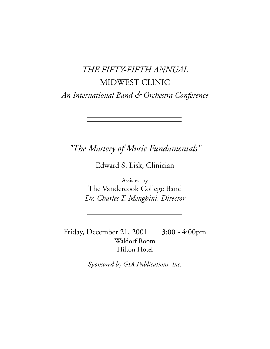# *THE FIFTY-FIFTH ANNUAL* MIDWEST CLINIC *An International Band & Orchestra Conference*

*"The Mastery of Music Fundamentals"*

Edward S. Lisk, Clinician

Assisted by The Vandercook College Band *Dr. Charles T. Menghini, Director*

Friday, December 21, 2001 3:00 - 4:00pm Waldorf Room Hilton Hotel

*Sponsored by GIA Publications, Inc.*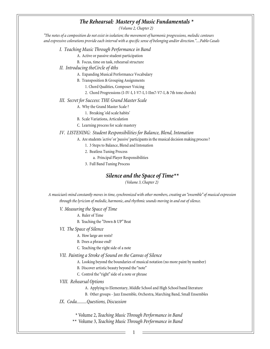# *The Rehearsal: Mastery of Music Fundamentals \**

*(Volume 2, Chapter 2)*

*"The notes of a composition do not exist in isolation; the movement of harmonic progressions, melodic contours and expressive colorations provide each interval with a specific sense of belonging and/or direction."....Pablo Casals*

*I. Teaching Music Through Performance in Band*

A. Active or passive student participation

B. Focus, time on task, rehearsal structure

*II. Introducing theCircle of 4ths*

A. Expanding Musical Performance Vocabulary

B. Transposition & Grouping Assignments

1. Chord Qualities, Composer Voicing

2. Chord Progressions (I-IV-I, I-V7-I, I-IIm7-V7-I, & 7th tone chords)

#### *III. Secret for Success: THE Grand Master Scale*

- A. Why the Grand Master Scale ?
	- 1. Breaking 'old scale habits'
- B. Scale Variations, Articulation
- C. Learning process for scale mastery

*IV. LISTENING: Student Responsibilities for Balance, Blend, Intonation*

- A. Are students *'active'* or '*passive'* participants in the musical decision making process ?
	- 1. 3 Steps to Balance, Blend and Intonation
	- 2. Beatless Tuning Process
		- a. Principal Player Responsibilities
	- 3. Full Band Tuning Process

#### *Silence and the Space of Time\*\**

*(Volume 3, Chapter 2)*

*A musician's mind constantly moves in time, synchronized with other members, creating an "ensemble" of musical expression through the lyricism of melodic, harmonic, and rhythmic sounds moving in and out of silence.*

*V. Measuring the Space of Time*

- A. Ruler of Time
- B. Teaching the "Down & UP" Beat
- *VI. The Space of Silence*
	- A. How large are rests?
	- B. Does a phrase end?
	- C. Teaching the right side of a note
- *VII. Painting a Stroke of Sound on the Canvas of Silence*
	- A. Looking beyond the boundaries of musical notation (no more paint by number)
	- B. Discover artistic beauty beyond the "note"
	- C. Control the "right" side of a note or phrase
- *VIII. Rehearsal Options*
	- A. Applying to Elementary, Middle School and High School band literature
	- B. Other groups Jazz Ensemble, Orchestra, Marching Band, Small Ensembles
- *IX. Coda.........Questions, Discussion*
	- \* Volume 2, *Teaching Music Through Performance in Band*
	- \*\* Volume 3, *Teaching Music Through Performance in Band*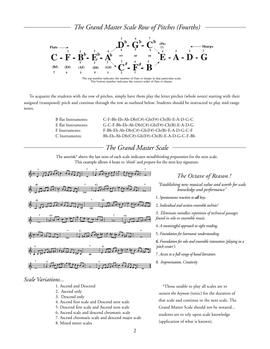*The Grand Master Scale Row of Pitches (Fourths)*



The top number indicates the number of flats or sharps in that particular scale. The bottom number indicates the correct order of flats or sharps.

 To acquaint the students with the row of pitches, simply have them play the letter pitches (whole notes) starting with their assigned (transposed) pitch and continue through the row as outlined below. Students should be instructed to play mid-range notes.

| B flat Instruments: | $C$ -F-Bb-Eb-Ab-Db $(C#)$ -Gb $(F#)$ -Cb $(B)$ -E-A-D-G-C |
|---------------------|-----------------------------------------------------------|
| E flat Instruments: | $G-C-F-Bb-Eb-Ab-Db(C#)-Gb(F#)-Cb(B)-E-A-D-G$              |
| F Instruments:      | $F-Bb-Eb-Ab-Db(C#)-Gb(F#)-Cb(B)-E-A-D-G-C-F$              |
| C Instruments:      | $Bb-Eb-Ab-Db(C#)-Gb(F#)-Cb(B)-E-A-D-G-C-F-Bb$             |

# *The Grand Master Scale*

The asterisk\* above the last note of each scale indicates *mind/thinking preparation* for the next scale. This example allows 4 beats to *'think'* and *prepare* for the next key signature.



*Scale Variations...*

- 1. Ascend and Descend
- 2. Ascend only
- 3. Descend only
- 4. Ascend first scale and Descend next scale
- 5. Descend first scale and Ascend next scale
- 6. Ascend scale and descend chromatic scale
- 7. Ascend chromatic scale and descend major scale
- 8. Mixed meter scales

# *The Octave of Reason !*

*"Establishing new musical value and worth for scale knowledge and performance"*

1. *Spontaneous reaction to all keys.*

2. *Individual and section ensemble technic!*

3. *Eliminate mindless repetition of technical passages found in solo or ensemble music.*

4. *A meaningful approach to sight reading.*

5. *Foundation for harmonic understanding.*

*6. Foundation for solo and ensemble intonation (playing in a 'pitch center').*

- 7. *Access to a full range of band literature.*
- *8. Improvisation, Creativity*

\*Those unable to play all scales are to *sustain the keynote* (tonic) for the duration of that scale and continue to the next scale. The Grand Master Scale should not be notated... students are to rely upon scale knowledge (application of what is known).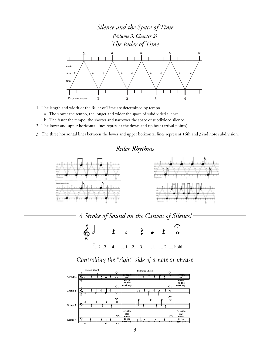

- 1. The length and width of the Ruler of Time are determined by tempo.
	- a. The slower the tempo, the longer and wider the space of subdivided silence.
	- b. The faster the tempo, the shorter and narrower the space of subdivided silence.
- 2. The lower and upper horizontal lines represent the down and up beat (arrival points).
- 3. The three horizontal lines between the lower and upper horizontal lines represent 16th and 32nd note subdivision.



*A Stroke of Sound on the Canvas of Silence!*



*Controlling the "right" side of a note or phrase*